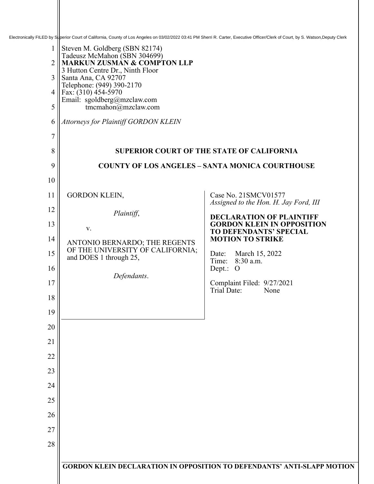Electronically FILED by Superior Court of California, County of Los Angeles on 03/02/2022 03:41 PM Sherri R. Carter, Executive Officer/Clerk of Court, by S. Watson,Deputy Clerk

| $\mathbf{1}$<br>$\overline{2}$<br>3<br>4<br>5 | Steven M. Goldberg (SBN 82174)<br>Tadeusz McMahon (SBN 304699)<br><b>MARKUN ZUSMAN &amp; COMPTON LLP</b><br>3 Hutton Centre Dr., Ninth Floor<br>Santa Ana, CA 92707<br>Telephone: (949) 390-2170<br>Fax: $(310)$ 454-5970<br>Email: sgoldberg@mzclaw.com<br>tmcmahon@mzclaw.com |                                                                                |
|-----------------------------------------------|---------------------------------------------------------------------------------------------------------------------------------------------------------------------------------------------------------------------------------------------------------------------------------|--------------------------------------------------------------------------------|
| 6<br>7                                        | Attorneys for Plaintiff GORDON KLEIN                                                                                                                                                                                                                                            |                                                                                |
| $\,8\,$                                       |                                                                                                                                                                                                                                                                                 | <b>SUPERIOR COURT OF THE STATE OF CALIFORNIA</b>                               |
| 9                                             | <b>COUNTY OF LOS ANGELES - SANTA MONICA COURTHOUSE</b>                                                                                                                                                                                                                          |                                                                                |
| 10                                            |                                                                                                                                                                                                                                                                                 |                                                                                |
| 11                                            | GORDON KLEIN,                                                                                                                                                                                                                                                                   | Case No. 21SMCV01577                                                           |
| 12                                            | Plaintiff,                                                                                                                                                                                                                                                                      | Assigned to the Hon. H. Jay Ford, III<br><b>DECLARATION OF PLAINTIFF</b>       |
| 13                                            | V.                                                                                                                                                                                                                                                                              | <b>GORDON KLEIN IN OPPOSITION</b><br>TO DEFENDANTS' SPECIAL                    |
| 14                                            | ANTONIO BERNARDO; THE REGENTS                                                                                                                                                                                                                                                   | <b>MOTION TO STRIKE</b>                                                        |
| 15                                            | OF THE UNIVERSITY OF CALIFORNIA;<br>and DOES 1 through 25,                                                                                                                                                                                                                      | March 15, 2022<br>Date:<br>8:30 a.m.<br>Time:                                  |
| 16                                            | Defendants.                                                                                                                                                                                                                                                                     | Dept.:<br>$\Omega$                                                             |
| 17                                            |                                                                                                                                                                                                                                                                                 | Complaint Filed: 9/27/2021<br>Trial Date:<br>None                              |
| 18                                            |                                                                                                                                                                                                                                                                                 |                                                                                |
| 19<br>20                                      |                                                                                                                                                                                                                                                                                 |                                                                                |
| 21                                            |                                                                                                                                                                                                                                                                                 |                                                                                |
| 22                                            |                                                                                                                                                                                                                                                                                 |                                                                                |
| 23                                            |                                                                                                                                                                                                                                                                                 |                                                                                |
| 24                                            |                                                                                                                                                                                                                                                                                 |                                                                                |
| 25                                            |                                                                                                                                                                                                                                                                                 |                                                                                |
| 26                                            |                                                                                                                                                                                                                                                                                 |                                                                                |
| 27                                            |                                                                                                                                                                                                                                                                                 |                                                                                |
| 28                                            |                                                                                                                                                                                                                                                                                 |                                                                                |
|                                               |                                                                                                                                                                                                                                                                                 | <b>GORDON KLEIN DECLARATION IN OPPOSITION TO DEFENDANTS' ANTI-SLAPP MOTION</b> |
|                                               |                                                                                                                                                                                                                                                                                 |                                                                                |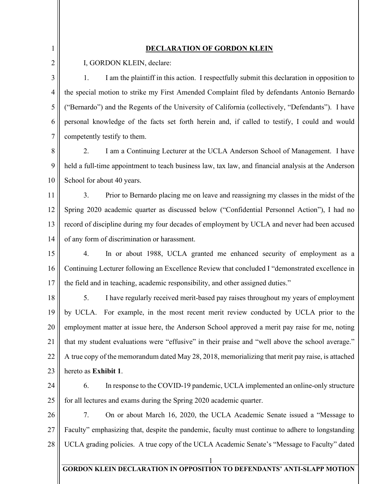1

2

## **DECLARATION OF GORDON KLEIN**

I, GORDON KLEIN, declare:

3 4 5 6 7 1. I am the plaintiff in this action. I respectfully submit this declaration in opposition to the special motion to strike my First Amended Complaint filed by defendants Antonio Bernardo ("Bernardo") and the Regents of the University of California (collectively, "Defendants"). I have personal knowledge of the facts set forth herein and, if called to testify, I could and would competently testify to them.

8 9 10 2. I am a Continuing Lecturer at the UCLA Anderson School of Management. I have held a full-time appointment to teach business law, tax law, and financial analysis at the Anderson School for about 40 years.

11 12 13 14 3. Prior to Bernardo placing me on leave and reassigning my classes in the midst of the Spring 2020 academic quarter as discussed below ("Confidential Personnel Action"), I had no record of discipline during my four decades of employment by UCLA and never had been accused of any form of discrimination or harassment.

15 16 17 4. In or about 1988, UCLA granted me enhanced security of employment as a Continuing Lecturer following an Excellence Review that concluded I "demonstrated excellence in the field and in teaching, academic responsibility, and other assigned duties."

18 19 20 21 22 23 5. I have regularly received merit-based pay raises throughout my years of employment by UCLA. For example, in the most recent merit review conducted by UCLA prior to the employment matter at issue here, the Anderson School approved a merit pay raise for me, noting that my student evaluations were "effusive" in their praise and "well above the school average." A true copy of the memorandum dated May 28, 2018, memorializing that merit pay raise, is attached hereto as **[Exhibit 1](#page--1-0)**.

24

25

6. In response to the COVID-19 pandemic, UCLA implemented an online-only structure for all lectures and exams during the Spring 2020 academic quarter.

26 27 28 7. On or about March 16, 2020, the UCLA Academic Senate issued a "Message to Faculty" emphasizing that, despite the pandemic, faculty must continue to adhere to longstanding UCLA grading policies. A true copy of the UCLA Academic Senate's "Message to Faculty" dated

## 1 **GORDON KLEIN DECLARATION IN OPPOSITION TO DEFENDANTS' ANTI-SLAPP MOTION**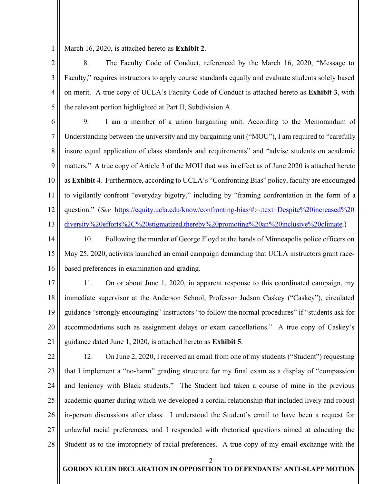1 March 16, 2020, is attached hereto as **[Exhibit 2](#page--1-0)**.

2 3 4 5 8. The Faculty Code of Conduct, referenced by the March 16, 2020, "Message to Faculty," requires instructors to apply course standards equally and evaluate students solely based on merit. A true copy of UCLA's Faculty Code of Conduct is attached hereto as **[Exhibit 3](#page--1-0)**, with the relevant portion highlighted at Part II, Subdivision A.

6 7 8 9 10 11 12 13 9. I am a member of a union bargaining unit. According to the Memorandum of Understanding between the university and my bargaining unit ("MOU"), I am required to "carefully insure equal application of class standards and requirements" and "advise students on academic matters." A true copy of Article 3 of the MOU that was in effect as of June 2020 is attached hereto as **[Exhibit 4](#page--1-0)**. Furthermore, according to UCLA's "Confronting Bias" policy, faculty are encouraged to vigilantly confront "everyday bigotry," including by "framing confrontation in the form of a question." (*See* [https://equity.ucla.edu/know/confronting-bias/#:~:text=Despite%20increased%20](https://equity.ucla.edu/know/confronting%1ebias/#:%7E:text=Despite%20increased%20diversity%20efforts%2C%20stigmatized,thereby%20promoting%20an%20inclusive%20climate) [diversity%20efforts%2C%20stigmatized,thereby%20promoting%20an%20inclusive%20climate.](https://equity.ucla.edu/know/confronting%1ebias/#:%7E:text=Despite%20increased%20diversity%20efforts%2C%20stigmatized,thereby%20promoting%20an%20inclusive%20climate))

14 15 16 10. Following the murder of George Floyd at the hands of Minneapolis police officers on May 25, 2020, activists launched an email campaign demanding that UCLA instructors grant racebased preferences in examination and grading.

17 18 19 20 21 11. On or about June 1, 2020, in apparent response to this coordinated campaign, my immediate supervisor at the Anderson School, Professor Judson Caskey ("Caskey"), circulated guidance "strongly encouraging" instructors "to follow the normal procedures" if "students ask for accommodations such as assignment delays or exam cancellations." A true copy of Caskey's guidance dated June 1, 2020, is attached hereto as **[Exhibit 5](#page--1-0)**.

22 23 24 25 26 27 28 12. On June 2, 2020, I received an email from one of my students ("Student") requesting that I implement a "no-harm" grading structure for my final exam as a display of "compassion and leniency with Black students." The Student had taken a course of mine in the previous academic quarter during which we developed a cordial relationship that included lively and robust in-person discussions after class. I understood the Student's email to have been a request for unlawful racial preferences, and I responded with rhetorical questions aimed at educating the Student as to the impropriety of racial preferences. A true copy of my email exchange with the

2

## **GORDON KLEIN DECLARATION IN OPPOSITION TO DEFENDANTS' ANTI-SLAPP MOTION**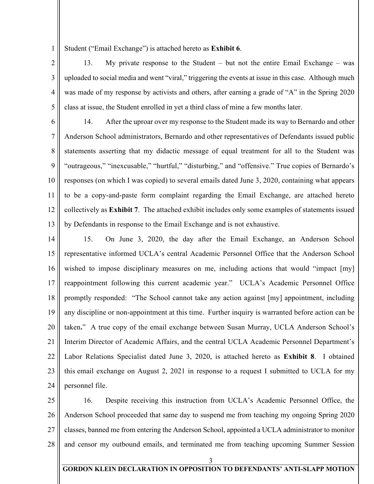1 Student ("Email Exchange") is attached hereto as **[Exhibit 6](#page--1-0)**.

13. My private response to the Student – but not the entire Email Exchange – was uploaded to social media and went "viral," triggering the events at issue in this case. Although much was made of my response by activists and others, after earning a grade of "A" in the Spring 2020 class at issue, the Student enrolled in yet a third class of mine a few months later.

5 6

7

8

9

10

11

12

13

2

3

4

14. After the uproar over my response to the Student made its way to Bernardo and other Anderson School administrators, Bernardo and other representatives of Defendants issued public statements asserting that my didactic message of equal treatment for all to the Student was "outrageous," "inexcusable," "hurtful," "disturbing," and "offensive." True copies of Bernardo's responses (on which I was copied) to several emails dated June 3, 2020, containing what appears to be a copy-and-paste form complaint regarding the Email Exchange, are attached hereto collectively as **[Exhibit 7](#page--1-0)**. The attached exhibit includes only some examples of statements issued by Defendants in response to the Email Exchange and is not exhaustive.

14 15 16 17 18 19 20 21 22 23 24 15. On June 3, 2020, the day after the Email Exchange, an Anderson School representative informed UCLA's central Academic Personnel Office that the Anderson School wished to impose disciplinary measures on me, including actions that would "impact [my] reappointment following this current academic year." UCLA's Academic Personnel Office promptly responded: "The School cannot take any action against [my] appointment, including any discipline or non-appointment at this time. Further inquiry is warranted before action can be taken**.**" A true copy of the email exchange between Susan Murray, UCLA Anderson School's Interim Director of Academic Affairs, and the central UCLA Academic Personnel Department's Labor Relations Specialist dated June 3, 2020, is attached hereto as **[Exhibit 8](#page--1-0)**. I obtained this email exchange on August 2, 2021 in response to a request I submitted to UCLA for my personnel file.

25 26 27 28 16. Despite receiving this instruction from UCLA's Academic Personnel Office, the Anderson School proceeded that same day to suspend me from teaching my ongoing Spring 2020 classes, banned me from entering the Anderson School, appointed a UCLA administrator to monitor and censor my outbound emails, and terminated me from teaching upcoming Summer Session

3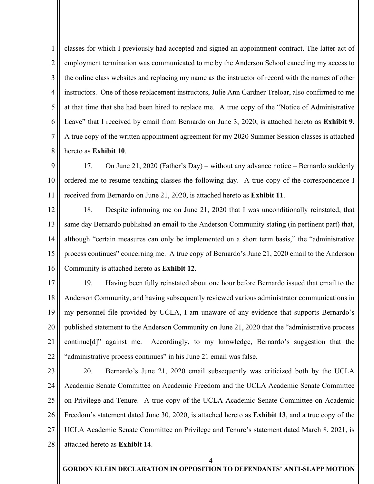1 2 3 4 5 6 7 8 classes for which I previously had accepted and signed an appointment contract. The latter act of employment termination was communicated to me by the Anderson School canceling my access to the online class websites and replacing my name as the instructor of record with the names of other instructors. One of those replacement instructors, Julie Ann Gardner Treloar, also confirmed to me at that time that she had been hired to replace me. A true copy of the "Notice of Administrative Leave" that I received by email from Bernardo on June 3, 2020, is attached hereto as **[Exhibit 9](#page--1-0)**. A true copy of the written appointment agreement for my 2020 Summer Session classes is attached hereto as **[Exhibit 10](#page--1-0)**.

9 10 11 17. On June 21, 2020 (Father's Day) – without any advance notice – Bernardo suddenly ordered me to resume teaching classes the following day. A true copy of the correspondence I received from Bernardo on June 21, 2020, is attached hereto as **[Exhibit 11](#page--1-0)**.

12 13 14 15 16 18. Despite informing me on June 21, 2020 that I was unconditionally reinstated, that same day Bernardo published an email to the Anderson Community stating (in pertinent part) that, although "certain measures can only be implemented on a short term basis," the "administrative process continues" concerning me. A true copy of Bernardo's June 21, 2020 email to the Anderson Community is attached hereto as **[Exhibit 12](#page--1-0)**.

17 18 19 20 21 22 19. Having been fully reinstated about one hour before Bernardo issued that email to the Anderson Community, and having subsequently reviewed various administrator communications in my personnel file provided by UCLA, I am unaware of any evidence that supports Bernardo's published statement to the Anderson Community on June 21, 2020 that the "administrative process continue[d]" against me. Accordingly, to my knowledge, Bernardo's suggestion that the "administrative process continues" in his June 21 email was false.

23 24 25 26 27 28 20. Bernardo's June 21, 2020 email subsequently was criticized both by the UCLA Academic Senate Committee on Academic Freedom and the UCLA Academic Senate Committee on Privilege and Tenure. A true copy of the UCLA Academic Senate Committee on Academic Freedom's statement dated June 30, 2020, is attached hereto as **[Exhibit 13](#page--1-0)**, and a true copy of the UCLA Academic Senate Committee on Privilege and Tenure's statement dated March 8, 2021, is attached hereto as **[Exhibit 14](#page--1-0)**.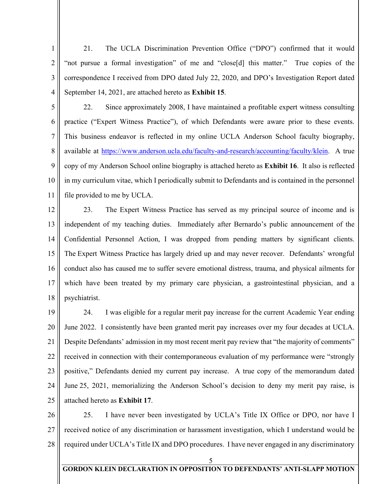2 3 4 21. The UCLA Discrimination Prevention Office ("DPO") confirmed that it would "not pursue a formal investigation" of me and "close[d] this matter." True copies of the correspondence I received from DPO dated July 22, 2020, and DPO's Investigation Report dated September 14, 2021, are attached hereto as **[Exhibit 15](#page--1-0)**.

1

5 6 7 8 9 10 11 22. Since approximately 2008, I have maintained a profitable expert witness consulting practice ("Expert Witness Practice"), of which Defendants were aware prior to these events. This business endeavor is reflected in my online UCLA Anderson School faculty biography, available at [https://www.anderson.ucla.edu/faculty-and-research/accounting/faculty/klein.](https://www.anderson.ucla.edu/faculty-and-research/accounting/faculty/klein) A true copy of my Anderson School online biography is attached hereto as **[Exhibit 16](#page--1-0)**. It also is reflected in my curriculum vitae, which I periodically submit to Defendants and is contained in the personnel file provided to me by UCLA.

12 13 14 15 16 17 18 23. The Expert Witness Practice has served as my principal source of income and is independent of my teaching duties. Immediately after Bernardo's public announcement of the Confidential Personnel Action, I was dropped from pending matters by significant clients. The Expert Witness Practice has largely dried up and may never recover. Defendants' wrongful conduct also has caused me to suffer severe emotional distress, trauma, and physical ailments for which have been treated by my primary care physician, a gastrointestinal physician, and a psychiatrist.

19 20 21 22 23 24 25 24. I was eligible for a regular merit pay increase for the current Academic Year ending June 2022. I consistently have been granted merit pay increases over my four decades at UCLA. Despite Defendants' admission in my most recent merit pay review that "the majority of comments" received in connection with their contemporaneous evaluation of my performance were "strongly positive," Defendants denied my current pay increase. A true copy of the memorandum dated June 25, 2021, memorializing the Anderson School's decision to deny my merit pay raise, is attached hereto as **[Exhibit 17](#page--1-0)**.

26 27 28 25. I have never been investigated by UCLA's Title IX Office or DPO, nor have I received notice of any discrimination or harassment investigation, which I understand would be required under UCLA's Title IX and DPO procedures. I have never engaged in any discriminatory

5

## **GORDON KLEIN DECLARATION IN OPPOSITION TO DEFENDANTS' ANTI-SLAPP MOTION**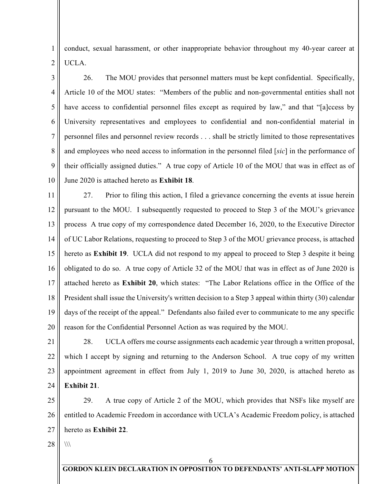1 2 conduct, sexual harassment, or other inappropriate behavior throughout my 40-year career at UCLA.

3 4 5 6 7 8 9 10 26. The MOU provides that personnel matters must be kept confidential. Specifically, Article 10 of the MOU states: "Members of the public and non-governmental entities shall not have access to confidential personnel files except as required by law," and that "[a]ccess by University representatives and employees to confidential and non-confidential material in personnel files and personnel review records . . . shall be strictly limited to those representatives and employees who need access to information in the personnel filed [*sic*] in the performance of their officially assigned duties." A true copy of Article 10 of the MOU that was in effect as of June 2020 is attached hereto as **[Exhibit 18](#page--1-0)**.

11 12 13 14 15 16 17 18 19 20 27. Prior to filing this action, I filed a grievance concerning the events at issue herein pursuant to the MOU. I subsequently requested to proceed to Step 3 of the MOU's grievance process A true copy of my correspondence dated December 16, 2020, to the Executive Director of UC Labor Relations, requesting to proceed to Step 3 of the MOU grievance process, is attached hereto as **[Exhibit 19](#page--1-0)**. UCLA did not respond to my appeal to proceed to Step 3 despite it being obligated to do so. A true copy of Article 32 of the MOU that was in effect as of June 2020 is attached hereto as **[Exhibit](#page--1-0) 20**, which states: "The Labor Relations office in the Office of the President shall issue the University's written decision to a Step 3 appeal within thirty (30) calendar days of the receipt of the appeal." Defendants also failed ever to communicate to me any specific reason for the Confidential Personnel Action as was required by the MOU.

21 22 23 24 28. UCLA offers me course assignments each academic year through a written proposal, which I accept by signing and returning to the Anderson School. A true copy of my written appointment agreement in effect from July 1, 2019 to June 30, 2020, is attached hereto as **[Exhibit 21](#page--1-0)**.

25 26 27 29. A true copy of Article 2 of the MOU, which provides that NSFs like myself are entitled to Academic Freedom in accordance with UCLA's Academic Freedom policy, is attached hereto as **[Exhibit 22](#page--1-0)**.

28  $\langle \rangle$